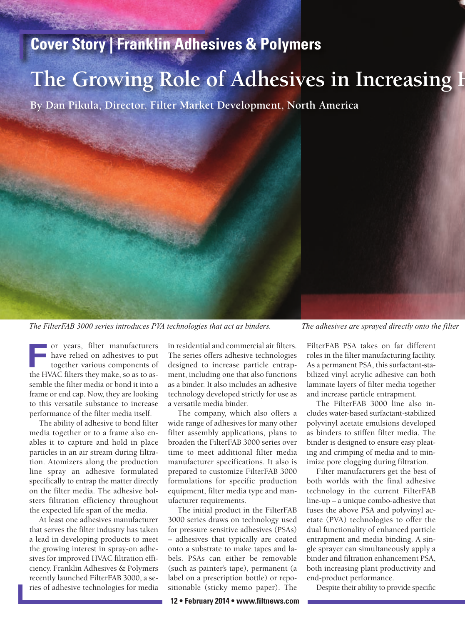## **Cover Story | Franklin Adhesives & Polymers**

## The Growing Role of Adhesives in Increasing H

**By Dan Pikula, Director, Filter Market Development, North America**



or years, filter manufacturers have relied on adhesives to put together various components of or years, filter manufacturers<br>have relied on adhesives to put<br>together various components of<br>the HVAC filters they make, so as to assemble the filter media or bond it into a frame or end cap. Now, they are looking to this versatile substance to increase performance of the filter media itself.

The ability of adhesive to bond filter media together or to a frame also enables it to capture and hold in place particles in an air stream during filtration. Atomizers along the production line spray an adhesive formulated specifically to entrap the matter directly on the filter media. The adhesive bolsters filtration efficiency throughout the expected life span of the media.

At least one adhesives manufacturer that serves the filter industry has taken a lead in developing products to meet the growing interest in spray-on adhesives for improved HVAC filtration efficiency. Franklin Adhesives & Polymers recently launched FilterFAB 3000, a series of adhesive technologies for media

in residential and commercial air filters. The series offers adhesive technologies designed to increase particle entrapment, including one that also functions as a binder. It also includes an adhesive technology developed strictly for use as a versatile media binder.

The company, which also offers a wide range of adhesives for many other filter assembly applications, plans to broaden the FilterFAB 3000 series over time to meet additional filter media manufacturer specifications. It also is prepared to customize FilterFAB 3000 formulations for specific production equipment, filter media type and manufacturer requirements.

The initial product in the FilterFAB 3000 series draws on technology used for pressure sensitive adhesives (PSAs) – adhesives that typically are coated onto a substrate to make tapes and labels. PSAs can either be removable (such as painter's tape), permanent (a label on a prescription bottle) or repositionable (sticky memo paper). The

**12 • February 2014 • www.filtnews.com**

FilterFAB PSA takes on far different roles in the filter manufacturing facility. As a permanent PSA, this surfactant-stabilized vinyl acrylic adhesive can both laminate layers of filter media together and increase particle entrapment.

The FilterFAB 3000 line also includes water-based surfactant-stabilized polyvinyl acetate emulsions developed as binders to stiffen filter media. The binder is designed to ensure easy pleating and crimping of media and to minimize pore clogging during filtration.

Filter manufacturers get the best of both worlds with the final adhesive technology in the current FilterFAB line-up – a unique combo-adhesive that fuses the above PSA and polyvinyl acetate (PVA) technologies to offer the dual functionality of enhanced particle entrapment and media binding. A single sprayer can simultaneously apply a binder and filtration enhancement PSA, both increasing plant productivity and end-product performance.

Despite their ability to provide specific